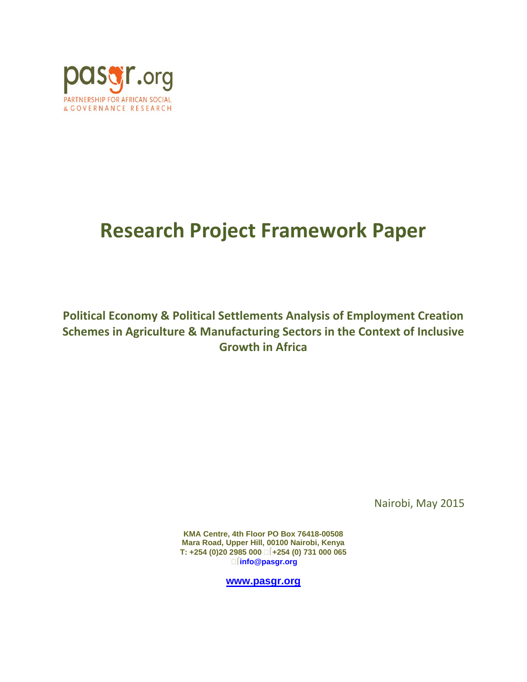

# **Research Project Framework Paper**

**Political Economy & Political Settlements Analysis of Employment Creation Schemes in Agriculture & Manufacturing Sectors in the Context of Inclusive Growth in Africa**

Nairobi, May 2015

**KMA Centre, 4th Floor PO Box 76418-00508 Mara Road, Upper Hill, 00100 Nairobi, Kenya T: +254 (0)20 2985 000 +254 (0) 731 000 065 info@pasgr.org**

**[www.pasgr.org](http://www.pasgr.org/)**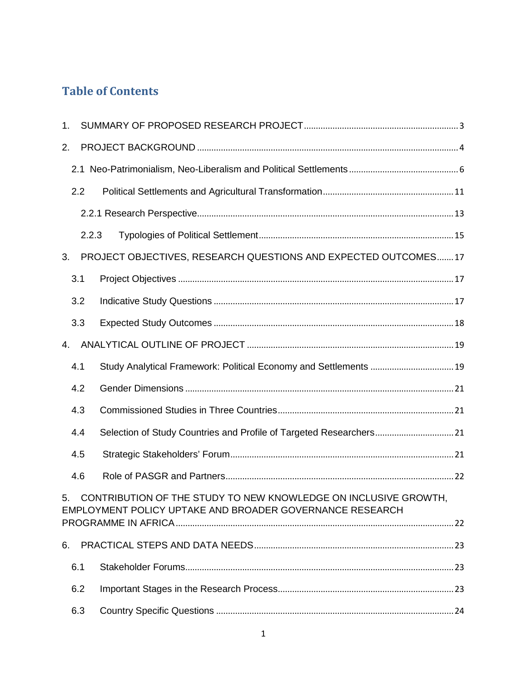## **Table of Contents**

| 1. |       |                                                                                                                             |  |  |
|----|-------|-----------------------------------------------------------------------------------------------------------------------------|--|--|
| 2. |       |                                                                                                                             |  |  |
|    |       |                                                                                                                             |  |  |
|    | 2.2   |                                                                                                                             |  |  |
|    |       |                                                                                                                             |  |  |
|    | 2.2.3 |                                                                                                                             |  |  |
| 3. |       | PROJECT OBJECTIVES, RESEARCH QUESTIONS AND EXPECTED OUTCOMES17                                                              |  |  |
|    | 3.1   |                                                                                                                             |  |  |
|    | 3.2   |                                                                                                                             |  |  |
|    | 3.3   |                                                                                                                             |  |  |
| 4. |       |                                                                                                                             |  |  |
|    | 4.1   | Study Analytical Framework: Political Economy and Settlements  19                                                           |  |  |
|    | 4.2   |                                                                                                                             |  |  |
|    | 4.3   |                                                                                                                             |  |  |
|    | 4.4   | Selection of Study Countries and Profile of Targeted Researchers 21                                                         |  |  |
|    | 4.5   |                                                                                                                             |  |  |
|    | 4.6   |                                                                                                                             |  |  |
| 5. |       | CONTRIBUTION OF THE STUDY TO NEW KNOWLEDGE ON INCLUSIVE GROWTH,<br>EMPLOYMENT POLICY UPTAKE AND BROADER GOVERNANCE RESEARCH |  |  |
|    |       |                                                                                                                             |  |  |
| 6. |       |                                                                                                                             |  |  |
|    | 6.1   |                                                                                                                             |  |  |
|    | 6.2   |                                                                                                                             |  |  |
|    | 6.3   |                                                                                                                             |  |  |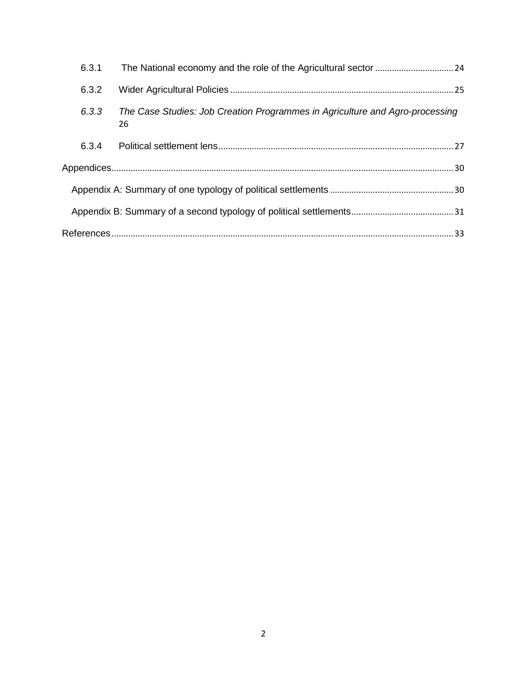| 6.3.1 |                                                                                    |  |  |  |  |
|-------|------------------------------------------------------------------------------------|--|--|--|--|
| 6.3.2 |                                                                                    |  |  |  |  |
| 6.3.3 | The Case Studies: Job Creation Programmes in Agriculture and Agro-processing<br>26 |  |  |  |  |
| 6.3.4 |                                                                                    |  |  |  |  |
|       |                                                                                    |  |  |  |  |
|       |                                                                                    |  |  |  |  |
|       |                                                                                    |  |  |  |  |
|       |                                                                                    |  |  |  |  |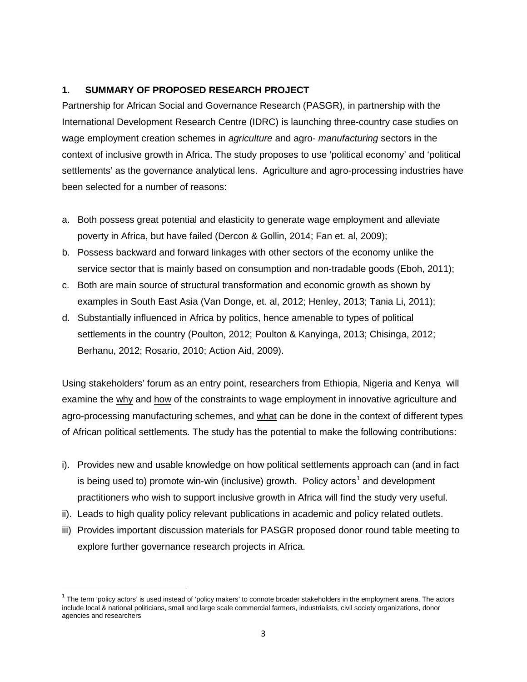## <span id="page-3-0"></span>**1. SUMMARY OF PROPOSED RESEARCH PROJECT**

Partnership for African Social and Governance Research (PASGR), in partnership with th*e*  International Development Research Centre (IDRC) is launching three-country case studies on wage employment creation schemes in *agriculture* and agro- *manufacturing* sectors in the context of inclusive growth in Africa. The study proposes to use 'political economy' and 'political settlements' as the governance analytical lens. Agriculture and agro-processing industries have been selected for a number of reasons:

- a. Both possess great potential and elasticity to generate wage employment and alleviate poverty in Africa, but have failed (Dercon & Gollin, 2014; Fan et. al, 2009);
- b. Possess backward and forward linkages with other sectors of the economy unlike the service sector that is mainly based on consumption and non-tradable goods (Eboh, 2011);
- c. Both are main source of structural transformation and economic growth as shown by examples in South East Asia (Van Donge, et. al, 2012; Henley, 2013; Tania Li, 2011);
- d. Substantially influenced in Africa by politics, hence amenable to types of political settlements in the country (Poulton, 2012; Poulton & Kanyinga, 2013; Chisinga, 2012; Berhanu, 2012; Rosario, 2010; Action Aid, 2009).

Using stakeholders' forum as an entry point, researchers from Ethiopia, Nigeria and Kenya will examine the why and how of the constraints to wage employment in innovative agriculture and agro-processing manufacturing schemes, and what can be done in the context of different types of African political settlements. The study has the potential to make the following contributions:

- i). Provides new and usable knowledge on how political settlements approach can (and in fact is being used to) promote win-win (inclusive) growth. Policy actors<sup>[1](#page-3-1)</sup> and development practitioners who wish to support inclusive growth in Africa will find the study very useful.
- ii). Leads to high quality policy relevant publications in academic and policy related outlets.
- iii) Provides important discussion materials for PASGR proposed donor round table meeting to explore further governance research projects in Africa.

<span id="page-3-1"></span> $1$  The term 'policy actors' is used instead of 'policy makers' to connote broader stakeholders in the employment arena. The actors include local & national politicians, small and large scale commercial farmers, industrialists, civil society organizations, donor agencies and researchers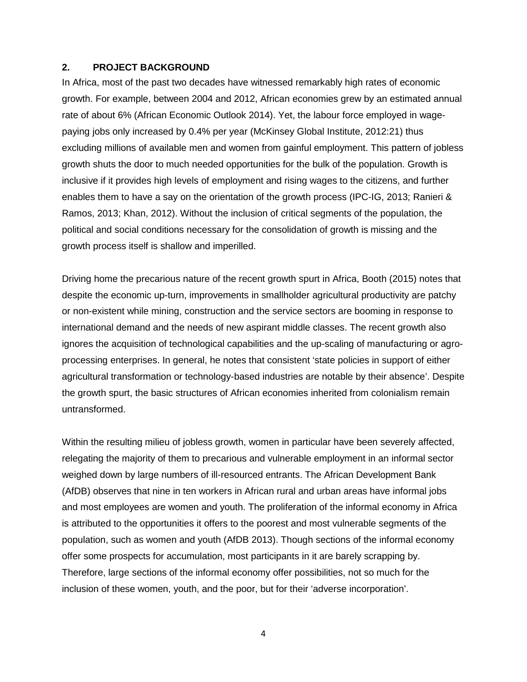#### <span id="page-4-0"></span>**2. PROJECT BACKGROUND**

In Africa, most of the past two decades have witnessed remarkably high rates of economic growth. For example, between 2004 and 2012, African economies grew by an estimated annual rate of about 6% (African Economic Outlook 2014). Yet, the labour force employed in wagepaying jobs only increased by 0.4% per year (McKinsey Global Institute, 2012:21) thus excluding millions of available men and women from gainful employment. This pattern of jobless growth shuts the door to much needed opportunities for the bulk of the population. Growth is inclusive if it provides high levels of employment and rising wages to the citizens, and further enables them to have a say on the orientation of the growth process (IPC-IG, 2013; Ranieri & Ramos, 2013; Khan, 2012). Without the inclusion of critical segments of the population, the political and social conditions necessary for the consolidation of growth is missing and the growth process itself is shallow and imperilled.

Driving home the precarious nature of the recent growth spurt in Africa, Booth (2015) notes that despite the economic up-turn, improvements in smallholder agricultural productivity are patchy or non-existent while mining, construction and the service sectors are booming in response to international demand and the needs of new aspirant middle classes. The recent growth also ignores the acquisition of technological capabilities and the up-scaling of manufacturing or agroprocessing enterprises. In general, he notes that consistent 'state policies in support of either agricultural transformation or technology-based industries are notable by their absence'. Despite the growth spurt, the basic structures of African economies inherited from colonialism remain untransformed.

Within the resulting milieu of jobless growth, women in particular have been severely affected, relegating the majority of them to precarious and vulnerable employment in an informal sector weighed down by large numbers of ill-resourced entrants. The African Development Bank (AfDB) observes that nine in ten workers in African rural and urban areas have informal jobs and most employees are women and youth. The proliferation of the informal economy in Africa is attributed to the opportunities it offers to the poorest and most vulnerable segments of the population, such as women and youth (AfDB 2013). Though sections of the informal economy offer some prospects for accumulation, most participants in it are barely scrapping by. Therefore, large sections of the informal economy offer possibilities, not so much for the inclusion of these women, youth, and the poor, but for their 'adverse incorporation'.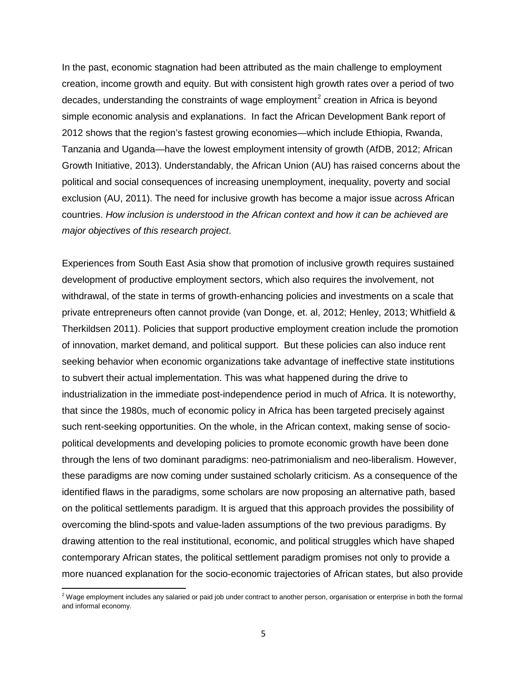In the past, economic stagnation had been attributed as the main challenge to employment creation, income growth and equity. But with consistent high growth rates over a period of two decades, understanding the constraints of wage employment<sup>[2](#page-5-0)</sup> creation in Africa is bevond simple economic analysis and explanations. In fact the African Development Bank report of 2012 shows that the region's fastest growing economies—which include Ethiopia, Rwanda, Tanzania and Uganda—have the lowest employment intensity of growth (AfDB, 2012; African Growth Initiative, 2013). Understandably, the African Union (AU) has raised concerns about the political and social consequences of increasing unemployment, inequality, poverty and social exclusion (AU, 2011). The need for inclusive growth has become a major issue across African countries. *How inclusion is understood in the African context and how it can be achieved are major objectives of this research project*.

Experiences from South East Asia show that promotion of inclusive growth requires sustained development of productive employment sectors, which also requires the involvement, not withdrawal, of the state in terms of growth-enhancing policies and investments on a scale that private entrepreneurs often cannot provide (van Donge, et. al, 2012; Henley, 2013; Whitfield & Therkildsen 2011). Policies that support productive employment creation include the promotion of innovation, market demand, and political support. But these policies can also induce rent seeking behavior when economic organizations take advantage of ineffective state institutions to subvert their actual implementation. This was what happened during the drive to industrialization in the immediate post-independence period in much of Africa. It is noteworthy, that since the 1980s, much of economic policy in Africa has been targeted precisely against such rent-seeking opportunities. On the whole, in the African context, making sense of sociopolitical developments and developing policies to promote economic growth have been done through the lens of two dominant paradigms: neo-patrimonialism and neo-liberalism. However, these paradigms are now coming under sustained scholarly criticism. As a consequence of the identified flaws in the paradigms, some scholars are now proposing an alternative path, based on the political settlements paradigm. It is argued that this approach provides the possibility of overcoming the blind-spots and value-laden assumptions of the two previous paradigms. By drawing attention to the real institutional, economic, and political struggles which have shaped contemporary African states, the political settlement paradigm promises not only to provide a more nuanced explanation for the socio-economic trajectories of African states, but also provide

 $\overline{\phantom{a}}$ 

<span id="page-5-0"></span> $^2$  Wage employment includes any salaried or paid job under contract to another person, organisation or enterprise in both the formal and informal economy.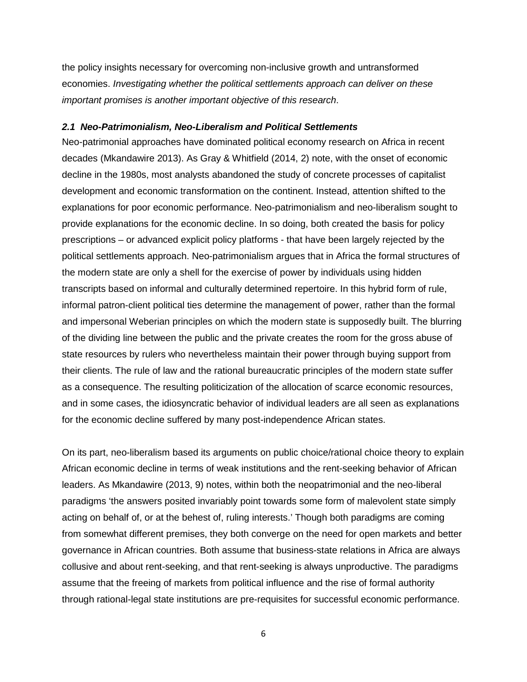the policy insights necessary for overcoming non-inclusive growth and untransformed economies. *Investigating whether the political settlements approach can deliver on these important promises is another important objective of this research*.

#### <span id="page-6-0"></span>*2.1 Neo-Patrimonialism, Neo-Liberalism and Political Settlements*

Neo-patrimonial approaches have dominated political economy research on Africa in recent decades (Mkandawire 2013). As Gray & Whitfield (2014, 2) note, with the onset of economic decline in the 1980s, most analysts abandoned the study of concrete processes of capitalist development and economic transformation on the continent. Instead, attention shifted to the explanations for poor economic performance. Neo-patrimonialism and neo-liberalism sought to provide explanations for the economic decline. In so doing, both created the basis for policy prescriptions – or advanced explicit policy platforms - that have been largely rejected by the political settlements approach. Neo-patrimonialism argues that in Africa the formal structures of the modern state are only a shell for the exercise of power by individuals using hidden transcripts based on informal and culturally determined repertoire. In this hybrid form of rule, informal patron-client political ties determine the management of power, rather than the formal and impersonal Weberian principles on which the modern state is supposedly built. The blurring of the dividing line between the public and the private creates the room for the gross abuse of state resources by rulers who nevertheless maintain their power through buying support from their clients. The rule of law and the rational bureaucratic principles of the modern state suffer as a consequence. The resulting politicization of the allocation of scarce economic resources, and in some cases, the idiosyncratic behavior of individual leaders are all seen as explanations for the economic decline suffered by many post-independence African states.

On its part, neo-liberalism based its arguments on public choice/rational choice theory to explain African economic decline in terms of weak institutions and the rent-seeking behavior of African leaders. As Mkandawire (2013, 9) notes, within both the neopatrimonial and the neo-liberal paradigms 'the answers posited invariably point towards some form of malevolent state simply acting on behalf of, or at the behest of, ruling interests.' Though both paradigms are coming from somewhat different premises, they both converge on the need for open markets and better governance in African countries. Both assume that business-state relations in Africa are always collusive and about rent-seeking, and that rent-seeking is always unproductive. The paradigms assume that the freeing of markets from political influence and the rise of formal authority through rational-legal state institutions are pre-requisites for successful economic performance.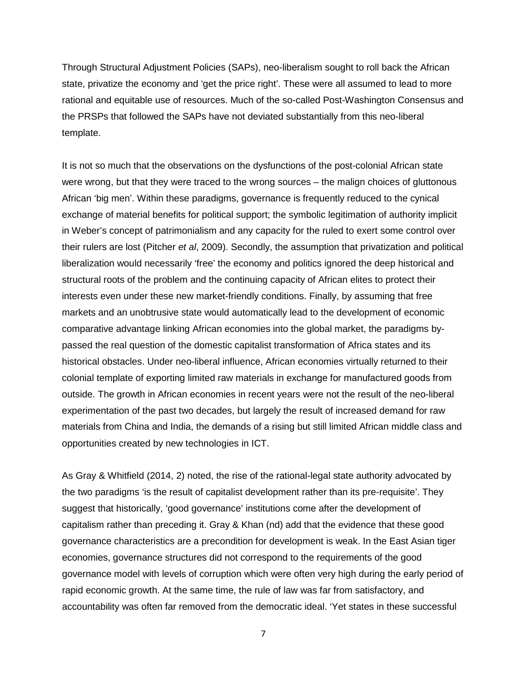Through Structural Adjustment Policies (SAPs), neo-liberalism sought to roll back the African state, privatize the economy and 'get the price right'. These were all assumed to lead to more rational and equitable use of resources. Much of the so-called Post-Washington Consensus and the PRSPs that followed the SAPs have not deviated substantially from this neo-liberal template.

It is not so much that the observations on the dysfunctions of the post-colonial African state were wrong, but that they were traced to the wrong sources – the malign choices of gluttonous African 'big men'. Within these paradigms, governance is frequently reduced to the cynical exchange of material benefits for political support; the symbolic legitimation of authority implicit in Weber's concept of patrimonialism and any capacity for the ruled to exert some control over their rulers are lost (Pitcher *et al*, 2009). Secondly, the assumption that privatization and political liberalization would necessarily 'free' the economy and politics ignored the deep historical and structural roots of the problem and the continuing capacity of African elites to protect their interests even under these new market-friendly conditions. Finally, by assuming that free markets and an unobtrusive state would automatically lead to the development of economic comparative advantage linking African economies into the global market, the paradigms bypassed the real question of the domestic capitalist transformation of Africa states and its historical obstacles. Under neo-liberal influence, African economies virtually returned to their colonial template of exporting limited raw materials in exchange for manufactured goods from outside. The growth in African economies in recent years were not the result of the neo-liberal experimentation of the past two decades, but largely the result of increased demand for raw materials from China and India, the demands of a rising but still limited African middle class and opportunities created by new technologies in ICT.

As Gray & Whitfield (2014, 2) noted, the rise of the rational-legal state authority advocated by the two paradigms 'is the result of capitalist development rather than its pre-requisite'. They suggest that historically, 'good governance' institutions come after the development of capitalism rather than preceding it. Gray & Khan (nd) add that the evidence that these good governance characteristics are a precondition for development is weak. In the East Asian tiger economies, governance structures did not correspond to the requirements of the good governance model with levels of corruption which were often very high during the early period of rapid economic growth. At the same time, the rule of law was far from satisfactory, and accountability was often far removed from the democratic ideal. 'Yet states in these successful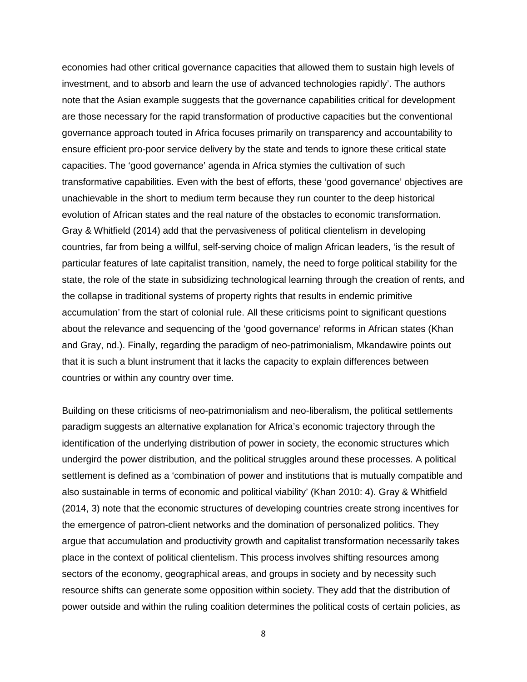economies had other critical governance capacities that allowed them to sustain high levels of investment, and to absorb and learn the use of advanced technologies rapidly'. The authors note that the Asian example suggests that the governance capabilities critical for development are those necessary for the rapid transformation of productive capacities but the conventional governance approach touted in Africa focuses primarily on transparency and accountability to ensure efficient pro-poor service delivery by the state and tends to ignore these critical state capacities. The 'good governance' agenda in Africa stymies the cultivation of such transformative capabilities. Even with the best of efforts, these 'good governance' objectives are unachievable in the short to medium term because they run counter to the deep historical evolution of African states and the real nature of the obstacles to economic transformation. Gray & Whitfield (2014) add that the pervasiveness of political clientelism in developing countries, far from being a willful, self-serving choice of malign African leaders, 'is the result of particular features of late capitalist transition, namely, the need to forge political stability for the state, the role of the state in subsidizing technological learning through the creation of rents, and the collapse in traditional systems of property rights that results in endemic primitive accumulation' from the start of colonial rule. All these criticisms point to significant questions about the relevance and sequencing of the 'good governance' reforms in African states (Khan and Gray, nd.). Finally, regarding the paradigm of neo-patrimonialism, Mkandawire points out that it is such a blunt instrument that it lacks the capacity to explain differences between countries or within any country over time.

Building on these criticisms of neo-patrimonialism and neo-liberalism, the political settlements paradigm suggests an alternative explanation for Africa's economic trajectory through the identification of the underlying distribution of power in society, the economic structures which undergird the power distribution, and the political struggles around these processes. A political settlement is defined as a 'combination of power and institutions that is mutually compatible and also sustainable in terms of economic and political viability' (Khan 2010: 4). Gray & Whitfield (2014, 3) note that the economic structures of developing countries create strong incentives for the emergence of patron-client networks and the domination of personalized politics. They argue that accumulation and productivity growth and capitalist transformation necessarily takes place in the context of political clientelism. This process involves shifting resources among sectors of the economy, geographical areas, and groups in society and by necessity such resource shifts can generate some opposition within society. They add that the distribution of power outside and within the ruling coalition determines the political costs of certain policies, as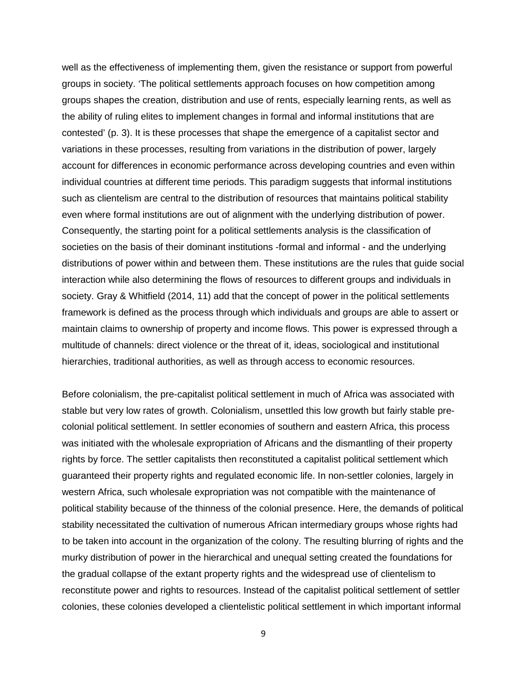well as the effectiveness of implementing them, given the resistance or support from powerful groups in society. 'The political settlements approach focuses on how competition among groups shapes the creation, distribution and use of rents, especially learning rents, as well as the ability of ruling elites to implement changes in formal and informal institutions that are contested' (p. 3). It is these processes that shape the emergence of a capitalist sector and variations in these processes, resulting from variations in the distribution of power, largely account for differences in economic performance across developing countries and even within individual countries at different time periods. This paradigm suggests that informal institutions such as clientelism are central to the distribution of resources that maintains political stability even where formal institutions are out of alignment with the underlying distribution of power. Consequently, the starting point for a political settlements analysis is the classification of societies on the basis of their dominant institutions -formal and informal - and the underlying distributions of power within and between them. These institutions are the rules that guide social interaction while also determining the flows of resources to different groups and individuals in society. Gray & Whitfield (2014, 11) add that the concept of power in the political settlements framework is defined as the process through which individuals and groups are able to assert or maintain claims to ownership of property and income flows. This power is expressed through a multitude of channels: direct violence or the threat of it, ideas, sociological and institutional hierarchies, traditional authorities, as well as through access to economic resources.

Before colonialism, the pre-capitalist political settlement in much of Africa was associated with stable but very low rates of growth. Colonialism, unsettled this low growth but fairly stable precolonial political settlement. In settler economies of southern and eastern Africa, this process was initiated with the wholesale expropriation of Africans and the dismantling of their property rights by force. The settler capitalists then reconstituted a capitalist political settlement which guaranteed their property rights and regulated economic life. In non-settler colonies, largely in western Africa, such wholesale expropriation was not compatible with the maintenance of political stability because of the thinness of the colonial presence. Here, the demands of political stability necessitated the cultivation of numerous African intermediary groups whose rights had to be taken into account in the organization of the colony. The resulting blurring of rights and the murky distribution of power in the hierarchical and unequal setting created the foundations for the gradual collapse of the extant property rights and the widespread use of clientelism to reconstitute power and rights to resources. Instead of the capitalist political settlement of settler colonies, these colonies developed a clientelistic political settlement in which important informal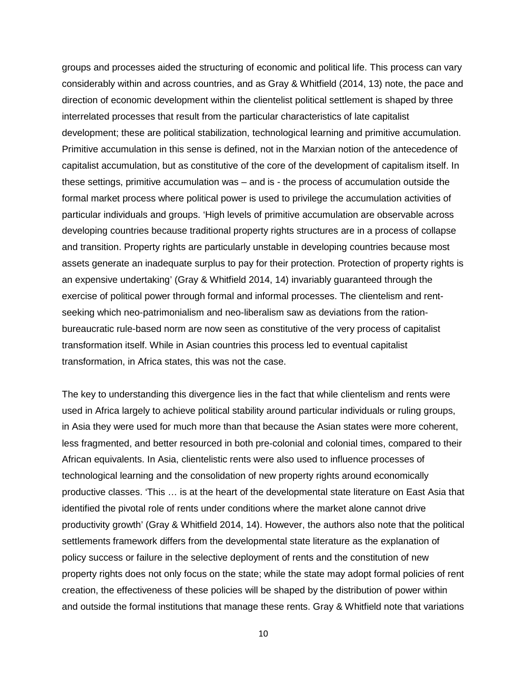groups and processes aided the structuring of economic and political life. This process can vary considerably within and across countries, and as Gray & Whitfield (2014, 13) note, the pace and direction of economic development within the clientelist political settlement is shaped by three interrelated processes that result from the particular characteristics of late capitalist development; these are political stabilization, technological learning and primitive accumulation. Primitive accumulation in this sense is defined, not in the Marxian notion of the antecedence of capitalist accumulation, but as constitutive of the core of the development of capitalism itself. In these settings, primitive accumulation was – and is - the process of accumulation outside the formal market process where political power is used to privilege the accumulation activities of particular individuals and groups. 'High levels of primitive accumulation are observable across developing countries because traditional property rights structures are in a process of collapse and transition. Property rights are particularly unstable in developing countries because most assets generate an inadequate surplus to pay for their protection. Protection of property rights is an expensive undertaking' (Gray & Whitfield 2014, 14) invariably guaranteed through the exercise of political power through formal and informal processes. The clientelism and rentseeking which neo-patrimonialism and neo-liberalism saw as deviations from the rationbureaucratic rule-based norm are now seen as constitutive of the very process of capitalist transformation itself. While in Asian countries this process led to eventual capitalist transformation, in Africa states, this was not the case.

The key to understanding this divergence lies in the fact that while clientelism and rents were used in Africa largely to achieve political stability around particular individuals or ruling groups, in Asia they were used for much more than that because the Asian states were more coherent, less fragmented, and better resourced in both pre-colonial and colonial times, compared to their African equivalents. In Asia, clientelistic rents were also used to influence processes of technological learning and the consolidation of new property rights around economically productive classes. 'This … is at the heart of the developmental state literature on East Asia that identified the pivotal role of rents under conditions where the market alone cannot drive productivity growth' (Gray & Whitfield 2014, 14). However, the authors also note that the political settlements framework differs from the developmental state literature as the explanation of policy success or failure in the selective deployment of rents and the constitution of new property rights does not only focus on the state; while the state may adopt formal policies of rent creation, the effectiveness of these policies will be shaped by the distribution of power within and outside the formal institutions that manage these rents. Gray & Whitfield note that variations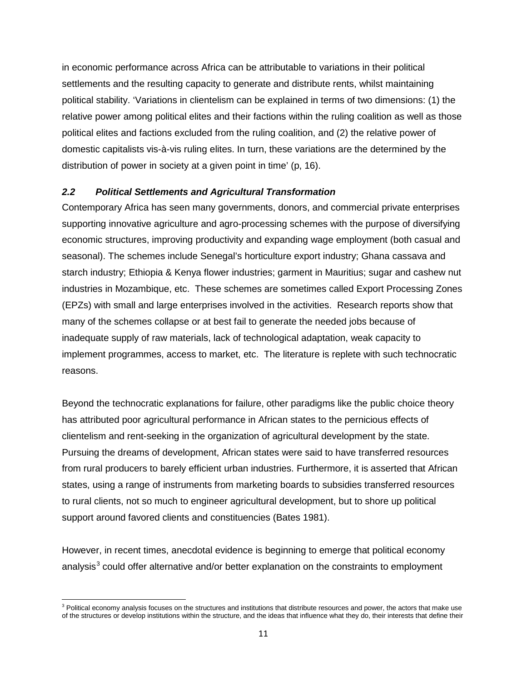in economic performance across Africa can be attributable to variations in their political settlements and the resulting capacity to generate and distribute rents, whilst maintaining political stability. 'Variations in clientelism can be explained in terms of two dimensions: (1) the relative power among political elites and their factions within the ruling coalition as well as those political elites and factions excluded from the ruling coalition, and (2) the relative power of domestic capitalists vis-à-vis ruling elites. In turn, these variations are the determined by the distribution of power in society at a given point in time' (p, 16).

#### <span id="page-11-0"></span>*2.2 Political Settlements and Agricultural Transformation*

Contemporary Africa has seen many governments, donors, and commercial private enterprises supporting innovative agriculture and agro-processing schemes with the purpose of diversifying economic structures, improving productivity and expanding wage employment (both casual and seasonal). The schemes include Senegal's horticulture export industry; Ghana cassava and starch industry; Ethiopia & Kenya flower industries; garment in Mauritius; sugar and cashew nut industries in Mozambique, etc. These schemes are sometimes called Export Processing Zones (EPZs) with small and large enterprises involved in the activities. Research reports show that many of the schemes collapse or at best fail to generate the needed jobs because of inadequate supply of raw materials, lack of technological adaptation, weak capacity to implement programmes, access to market, etc. The literature is replete with such technocratic reasons.

Beyond the technocratic explanations for failure, other paradigms like the public choice theory has attributed poor agricultural performance in African states to the pernicious effects of clientelism and rent-seeking in the organization of agricultural development by the state. Pursuing the dreams of development, African states were said to have transferred resources from rural producers to barely efficient urban industries. Furthermore, it is asserted that African states, using a range of instruments from marketing boards to subsidies transferred resources to rural clients, not so much to engineer agricultural development, but to shore up political support around favored clients and constituencies (Bates 1981).

However, in recent times, anecdotal evidence is beginning to emerge that political economy analysis<sup>[3](#page-11-1)</sup> could offer alternative and/or better explanation on the constraints to employment

 $\overline{\phantom{a}}$ 

<span id="page-11-1"></span> $3$  Political economy analysis focuses on the structures and institutions that distribute resources and power, the actors that make use of the structures or develop institutions within the structure, and the ideas that influence what they do, their interests that define their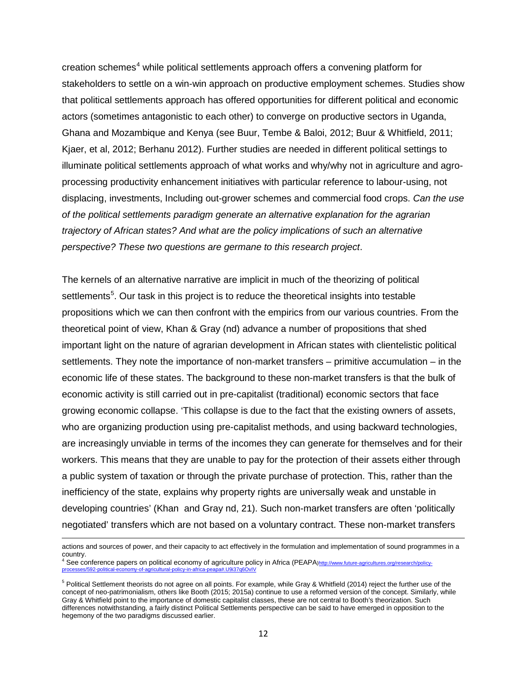creation schemes<sup>[4](#page-12-0)</sup> while political settlements approach offers a convening platform for stakeholders to settle on a win-win approach on productive employment schemes. Studies show that political settlements approach has offered opportunities for different political and economic actors (sometimes antagonistic to each other) to converge on productive sectors in Uganda, Ghana and Mozambique and Kenya (see Buur, Tembe & Baloi, 2012; Buur & Whitfield, 2011; Kjaer, et al, 2012; Berhanu 2012). Further studies are needed in different political settings to illuminate political settlements approach of what works and why/why not in agriculture and agroprocessing productivity enhancement initiatives with particular reference to labour-using, not displacing, investments, Including out-grower schemes and commercial food crops. *Can the use of the political settlements paradigm generate an alternative explanation for the agrarian trajectory of African states? And what are the policy implications of such an alternative perspective? These two questions are germane to this research project*.

The kernels of an alternative narrative are implicit in much of the theorizing of political settlements<sup>[5](#page-12-1)</sup>. Our task in this project is to reduce the theoretical insights into testable propositions which we can then confront with the empirics from our various countries. From the theoretical point of view, Khan & Gray (nd) advance a number of propositions that shed important light on the nature of agrarian development in African states with clientelistic political settlements. They note the importance of non-market transfers – primitive accumulation – in the economic life of these states. The background to these non-market transfers is that the bulk of economic activity is still carried out in pre-capitalist (traditional) economic sectors that face growing economic collapse. 'This collapse is due to the fact that the existing owners of assets, who are organizing production using pre-capitalist methods, and using backward technologies, are increasingly unviable in terms of the incomes they can generate for themselves and for their workers. This means that they are unable to pay for the protection of their assets either through a public system of taxation or through the private purchase of protection. This, rather than the inefficiency of the state, explains why property rights are universally weak and unstable in developing countries' (Khan and Gray nd, 21). Such non-market transfers are often 'politically negotiated' transfers which are not based on a voluntary contract. These non-market transfers

 $\overline{\phantom{a}}$ 

actions and sources of power, and their capacity to act effectively in the formulation and implementation of sound programmes in a country.

<span id="page-12-0"></span><sup>4</sup> See conference papers on political economy of agriculture policy in Africa (PEAP[A\)http://www.future-agricultures.org/research/policy](http://www.future-agricultures.org/research/policy-processes/592-political-economy-of-agricultural-policy-in-africa-peapa#.U9i37q6OvIV)[processes/592-political-economy-of-agricultural-policy-in-africa-peapa#.U9i37q6OvIV](http://www.future-agricultures.org/research/policy-processes/592-political-economy-of-agricultural-policy-in-africa-peapa#.U9i37q6OvIV)

<span id="page-12-1"></span> $5$  Political Settlement theorists do not agree on all points. For example, while Gray & Whitfield (2014) reject the further use of the concept of neo-patrimonialism, others like Booth (2015; 2015a) continue to use a reformed version of the concept. Similarly, while Gray & Whitfield point to the importance of domestic capitalist classes, these are not central to Booth's theorization. Such differences notwithstanding, a fairly distinct Political Settlements perspective can be said to have emerged in opposition to the hegemony of the two paradigms discussed earlier.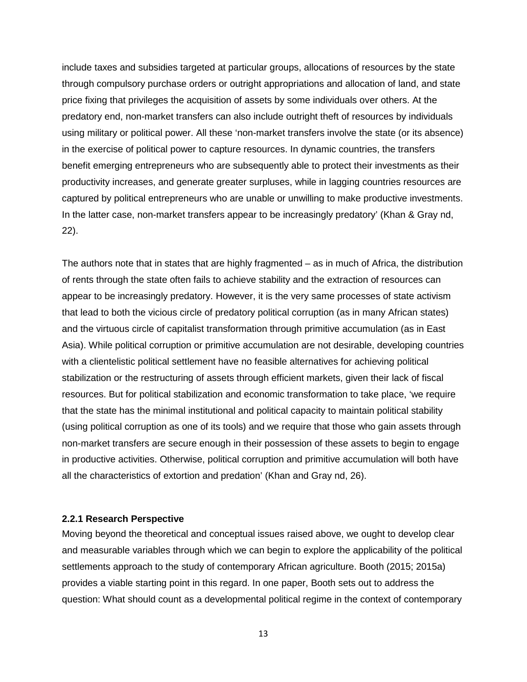include taxes and subsidies targeted at particular groups, allocations of resources by the state through compulsory purchase orders or outright appropriations and allocation of land, and state price fixing that privileges the acquisition of assets by some individuals over others. At the predatory end, non-market transfers can also include outright theft of resources by individuals using military or political power. All these 'non-market transfers involve the state (or its absence) in the exercise of political power to capture resources. In dynamic countries, the transfers benefit emerging entrepreneurs who are subsequently able to protect their investments as their productivity increases, and generate greater surpluses, while in lagging countries resources are captured by political entrepreneurs who are unable or unwilling to make productive investments. In the latter case, non-market transfers appear to be increasingly predatory' (Khan & Gray nd, 22).

The authors note that in states that are highly fragmented – as in much of Africa, the distribution of rents through the state often fails to achieve stability and the extraction of resources can appear to be increasingly predatory. However, it is the very same processes of state activism that lead to both the vicious circle of predatory political corruption (as in many African states) and the virtuous circle of capitalist transformation through primitive accumulation (as in East Asia). While political corruption or primitive accumulation are not desirable, developing countries with a clientelistic political settlement have no feasible alternatives for achieving political stabilization or the restructuring of assets through efficient markets, given their lack of fiscal resources. But for political stabilization and economic transformation to take place, 'we require that the state has the minimal institutional and political capacity to maintain political stability (using political corruption as one of its tools) and we require that those who gain assets through non-market transfers are secure enough in their possession of these assets to begin to engage in productive activities. Otherwise, political corruption and primitive accumulation will both have all the characteristics of extortion and predation' (Khan and Gray nd, 26).

#### <span id="page-13-0"></span>**2.2.1 Research Perspective**

Moving beyond the theoretical and conceptual issues raised above, we ought to develop clear and measurable variables through which we can begin to explore the applicability of the political settlements approach to the study of contemporary African agriculture. Booth (2015; 2015a) provides a viable starting point in this regard. In one paper, Booth sets out to address the question: What should count as a developmental political regime in the context of contemporary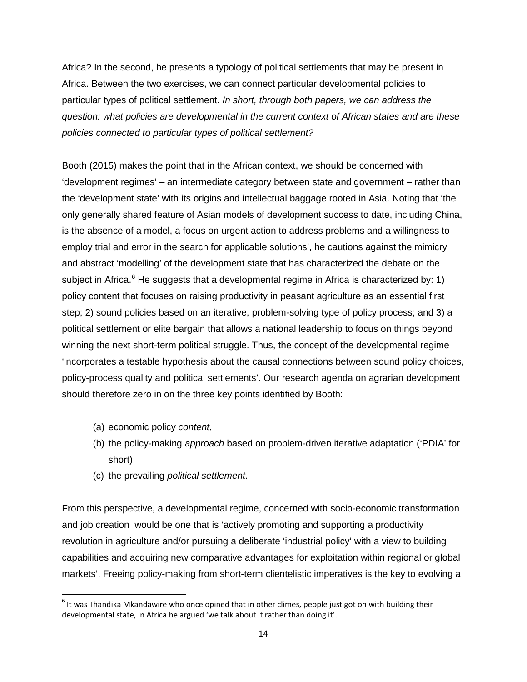Africa? In the second, he presents a typology of political settlements that may be present in Africa. Between the two exercises, we can connect particular developmental policies to particular types of political settlement. *In short, through both papers, we can address the question: what policies are developmental in the current context of African states and are these policies connected to particular types of political settlement?*

Booth (2015) makes the point that in the African context, we should be concerned with 'development regimes' – an intermediate category between state and government – rather than the 'development state' with its origins and intellectual baggage rooted in Asia. Noting that 'the only generally shared feature of Asian models of development success to date, including China, is the absence of a model, a focus on urgent action to address problems and a willingness to employ trial and error in the search for applicable solutions', he cautions against the mimicry and abstract 'modelling' of the development state that has characterized the debate on the subject in Africa. $6$  He suggests that a developmental regime in Africa is characterized by: 1) policy content that focuses on raising productivity in peasant agriculture as an essential first step; 2) sound policies based on an iterative, problem-solving type of policy process; and 3) a political settlement or elite bargain that allows a national leadership to focus on things beyond winning the next short-term political struggle. Thus, the concept of the developmental regime 'incorporates a testable hypothesis about the causal connections between sound policy choices, policy-process quality and political settlements'. Our research agenda on agrarian development should therefore zero in on the three key points identified by Booth:

- (a) economic policy *content*,
- (b) the policy-making *approach* based on problem-driven iterative adaptation ('PDIA' for short)
- (c) the prevailing *political settlement*.

From this perspective, a developmental regime, concerned with socio-economic transformation and job creation would be one that is 'actively promoting and supporting a productivity revolution in agriculture and/or pursuing a deliberate 'industrial policy' with a view to building capabilities and acquiring new comparative advantages for exploitation within regional or global markets'. Freeing policy-making from short-term clientelistic imperatives is the key to evolving a

<span id="page-14-0"></span> $6$  It was Thandika Mkandawire who once opined that in other climes, people just got on with building their developmental state, in Africa he argued 'we talk about it rather than doing it'.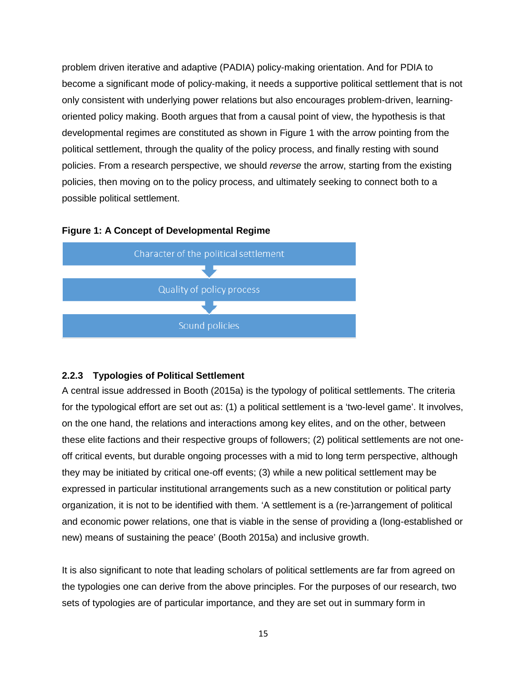problem driven iterative and adaptive (PADIA) policy-making orientation. And for PDIA to become a significant mode of policy-making, it needs a supportive political settlement that is not only consistent with underlying power relations but also encourages problem-driven, learningoriented policy making. Booth argues that from a causal point of view, the hypothesis is that developmental regimes are constituted as shown in Figure 1 with the arrow pointing from the political settlement, through the quality of the policy process, and finally resting with sound policies. From a research perspective, we should *reverse* the arrow, starting from the existing policies, then moving on to the policy process, and ultimately seeking to connect both to a possible political settlement.

#### **Figure 1: A Concept of Developmental Regime**



#### <span id="page-15-0"></span>**2.2.3 Typologies of Political Settlement**

A central issue addressed in Booth (2015a) is the typology of political settlements. The criteria for the typological effort are set out as: (1) a political settlement is a 'two-level game'. It involves, on the one hand, the relations and interactions among key elites, and on the other, between these elite factions and their respective groups of followers; (2) political settlements are not oneoff critical events, but durable ongoing processes with a mid to long term perspective, although they may be initiated by critical one-off events; (3) while a new political settlement may be expressed in particular institutional arrangements such as a new constitution or political party organization, it is not to be identified with them. 'A settlement is a (re-)arrangement of political and economic power relations, one that is viable in the sense of providing a (long-established or new) means of sustaining the peace' (Booth 2015a) and inclusive growth.

It is also significant to note that leading scholars of political settlements are far from agreed on the typologies one can derive from the above principles. For the purposes of our research, two sets of typologies are of particular importance, and they are set out in summary form in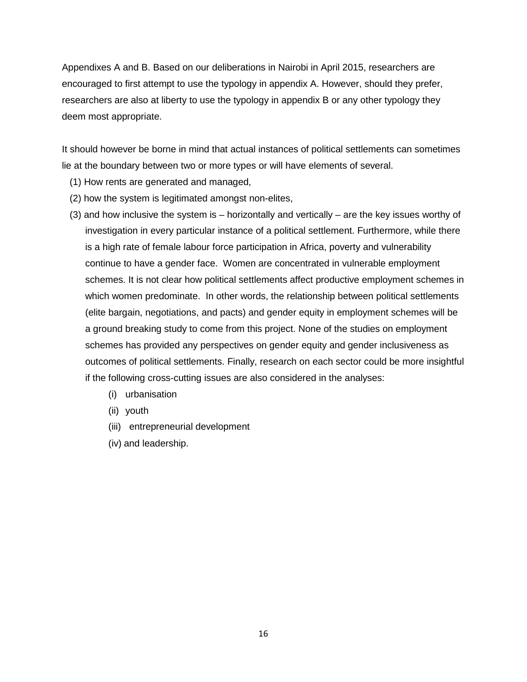Appendixes A and B. Based on our deliberations in Nairobi in April 2015, researchers are encouraged to first attempt to use the typology in appendix A. However, should they prefer, researchers are also at liberty to use the typology in appendix B or any other typology they deem most appropriate.

It should however be borne in mind that actual instances of political settlements can sometimes lie at the boundary between two or more types or will have elements of several.

- (1) How rents are generated and managed,
- (2) how the system is legitimated amongst non-elites,
- (3) and how inclusive the system is horizontally and vertically are the key issues worthy of investigation in every particular instance of a political settlement. Furthermore, while there is a high rate of female labour force participation in Africa, poverty and vulnerability continue to have a gender face. Women are concentrated in vulnerable employment schemes. It is not clear how political settlements affect productive employment schemes in which women predominate. In other words, the relationship between political settlements (elite bargain, negotiations, and pacts) and gender equity in employment schemes will be a ground breaking study to come from this project. None of the studies on employment schemes has provided any perspectives on gender equity and gender inclusiveness as outcomes of political settlements. Finally, research on each sector could be more insightful if the following cross-cutting issues are also considered in the analyses:
	- (i) urbanisation
	- (ii) youth
	- (iii) entrepreneurial development
	- (iv) and leadership.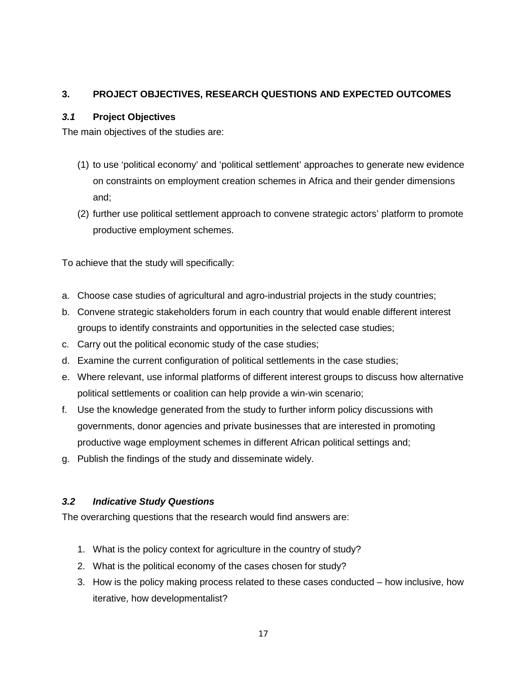## <span id="page-17-0"></span>**3. PROJECT OBJECTIVES, RESEARCH QUESTIONS AND EXPECTED OUTCOMES**

## <span id="page-17-1"></span>*3.1* **Project Objectives**

The main objectives of the studies are:

- (1) to use 'political economy' and 'political settlement' approaches to generate new evidence on constraints on employment creation schemes in Africa and their gender dimensions and;
- (2) further use political settlement approach to convene strategic actors' platform to promote productive employment schemes.

To achieve that the study will specifically:

- a. Choose case studies of agricultural and agro-industrial projects in the study countries;
- b. Convene strategic stakeholders forum in each country that would enable different interest groups to identify constraints and opportunities in the selected case studies;
- c. Carry out the political economic study of the case studies;
- d. Examine the current configuration of political settlements in the case studies;
- e. Where relevant, use informal platforms of different interest groups to discuss how alternative political settlements or coalition can help provide a win-win scenario;
- f. Use the knowledge generated from the study to further inform policy discussions with governments, donor agencies and private businesses that are interested in promoting productive wage employment schemes in different African political settings and;
- g. Publish the findings of the study and disseminate widely.

## <span id="page-17-2"></span>*3.2 Indicative Study Questions*

The overarching questions that the research would find answers are:

- 1. What is the policy context for agriculture in the country of study?
- 2. What is the political economy of the cases chosen for study?
- 3. How is the policy making process related to these cases conducted how inclusive, how iterative, how developmentalist?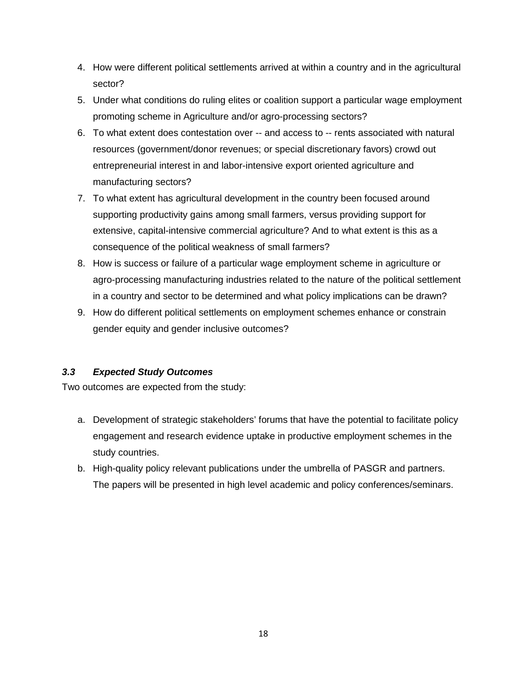- 4. How were different political settlements arrived at within a country and in the agricultural sector?
- 5. Under what conditions do ruling elites or coalition support a particular wage employment promoting scheme in Agriculture and/or agro-processing sectors?
- 6. To what extent does contestation over -- and access to -- rents associated with natural resources (government/donor revenues; or special discretionary favors) crowd out entrepreneurial interest in and labor-intensive export oriented agriculture and manufacturing sectors?
- 7. To what extent has agricultural development in the country been focused around supporting productivity gains among small farmers, versus providing support for extensive, capital-intensive commercial agriculture? And to what extent is this as a consequence of the political weakness of small farmers?
- 8. How is success or failure of a particular wage employment scheme in agriculture or agro-processing manufacturing industries related to the nature of the political settlement in a country and sector to be determined and what policy implications can be drawn?
- 9. How do different political settlements on employment schemes enhance or constrain gender equity and gender inclusive outcomes?

## <span id="page-18-0"></span>*3.3 Expected Study Outcomes*

Two outcomes are expected from the study:

- a. Development of strategic stakeholders' forums that have the potential to facilitate policy engagement and research evidence uptake in productive employment schemes in the study countries.
- b. High-quality policy relevant publications under the umbrella of PASGR and partners. The papers will be presented in high level academic and policy conferences/seminars.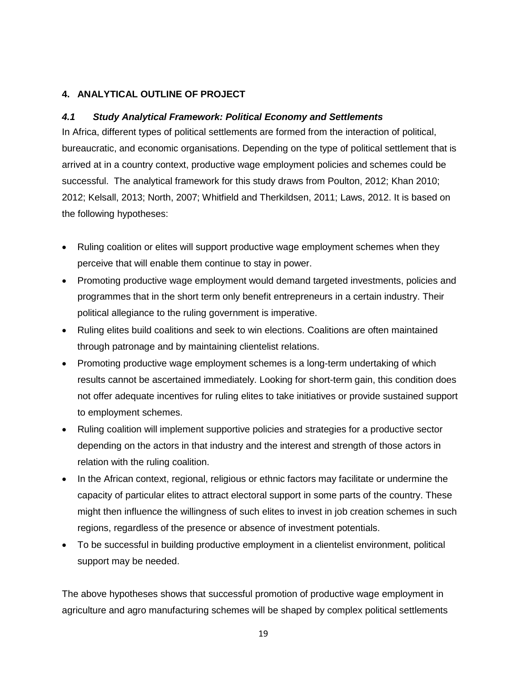## <span id="page-19-0"></span>**4. ANALYTICAL OUTLINE OF PROJECT**

## <span id="page-19-1"></span>*4.1 Study Analytical Framework: Political Economy and Settlements*

In Africa, different types of political settlements are formed from the interaction of political, bureaucratic, and economic organisations. Depending on the type of political settlement that is arrived at in a country context, productive wage employment policies and schemes could be successful. The analytical framework for this study draws from Poulton, 2012; Khan 2010; 2012; Kelsall, 2013; North, 2007; Whitfield and Therkildsen, 2011; Laws, 2012. It is based on the following hypotheses:

- Ruling coalition or elites will support productive wage employment schemes when they perceive that will enable them continue to stay in power.
- Promoting productive wage employment would demand targeted investments, policies and programmes that in the short term only benefit entrepreneurs in a certain industry. Their political allegiance to the ruling government is imperative.
- Ruling elites build coalitions and seek to win elections. Coalitions are often maintained through patronage and by maintaining clientelist relations.
- Promoting productive wage employment schemes is a long-term undertaking of which results cannot be ascertained immediately. Looking for short-term gain, this condition does not offer adequate incentives for ruling elites to take initiatives or provide sustained support to employment schemes.
- Ruling coalition will implement supportive policies and strategies for a productive sector depending on the actors in that industry and the interest and strength of those actors in relation with the ruling coalition.
- In the African context, regional, religious or ethnic factors may facilitate or undermine the capacity of particular elites to attract electoral support in some parts of the country. These might then influence the willingness of such elites to invest in job creation schemes in such regions, regardless of the presence or absence of investment potentials.
- To be successful in building productive employment in a clientelist environment, political support may be needed.

The above hypotheses shows that successful promotion of productive wage employment in agriculture and agro manufacturing schemes will be shaped by complex political settlements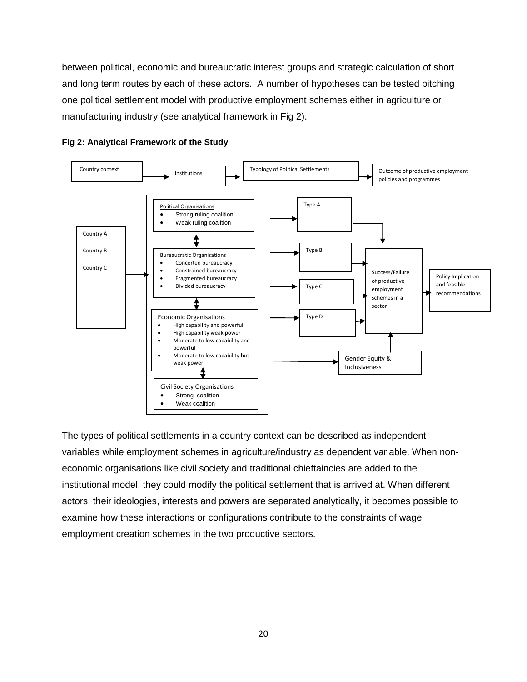between political, economic and bureaucratic interest groups and strategic calculation of short and long term routes by each of these actors. A number of hypotheses can be tested pitching one political settlement model with productive employment schemes either in agriculture or manufacturing industry (see analytical framework in Fig 2).





The types of political settlements in a country context can be described as independent variables while employment schemes in agriculture/industry as dependent variable. When noneconomic organisations like civil society and traditional chieftaincies are added to the institutional model, they could modify the political settlement that is arrived at. When different actors, their ideologies, interests and powers are separated analytically, it becomes possible to examine how these interactions or configurations contribute to the constraints of wage employment creation schemes in the two productive sectors.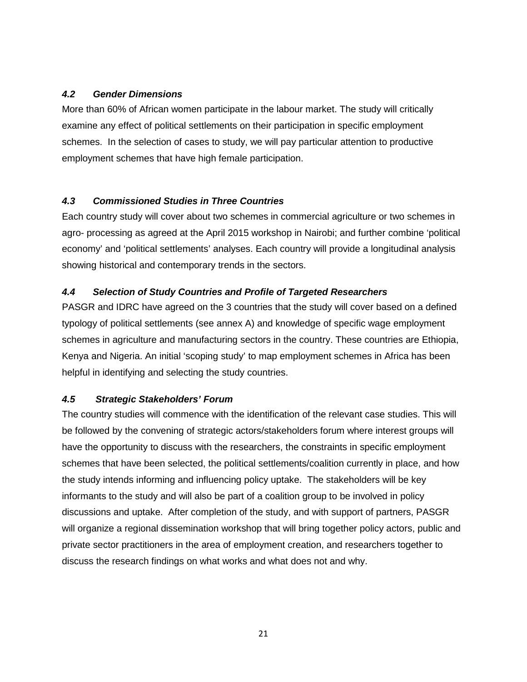## <span id="page-21-0"></span>*4.2 Gender Dimensions*

More than 60% of African women participate in the labour market. The study will critically examine any effect of political settlements on their participation in specific employment schemes. In the selection of cases to study, we will pay particular attention to productive employment schemes that have high female participation.

## <span id="page-21-1"></span>*4.3 Commissioned Studies in Three Countries*

Each country study will cover about two schemes in commercial agriculture or two schemes in agro- processing as agreed at the April 2015 workshop in Nairobi; and further combine 'political economy' and 'political settlements' analyses. Each country will provide a longitudinal analysis showing historical and contemporary trends in the sectors.

## <span id="page-21-2"></span>*4.4 Selection of Study Countries and Profile of Targeted Researchers*

PASGR and IDRC have agreed on the 3 countries that the study will cover based on a defined typology of political settlements (see annex A) and knowledge of specific wage employment schemes in agriculture and manufacturing sectors in the country. These countries are Ethiopia, Kenya and Nigeria. An initial 'scoping study' to map employment schemes in Africa has been helpful in identifying and selecting the study countries.

#### <span id="page-21-3"></span>*4.5 Strategic Stakeholders' Forum*

The country studies will commence with the identification of the relevant case studies. This will be followed by the convening of strategic actors/stakeholders forum where interest groups will have the opportunity to discuss with the researchers, the constraints in specific employment schemes that have been selected, the political settlements/coalition currently in place, and how the study intends informing and influencing policy uptake. The stakeholders will be key informants to the study and will also be part of a coalition group to be involved in policy discussions and uptake. After completion of the study, and with support of partners, PASGR will organize a regional dissemination workshop that will bring together policy actors, public and private sector practitioners in the area of employment creation, and researchers together to discuss the research findings on what works and what does not and why.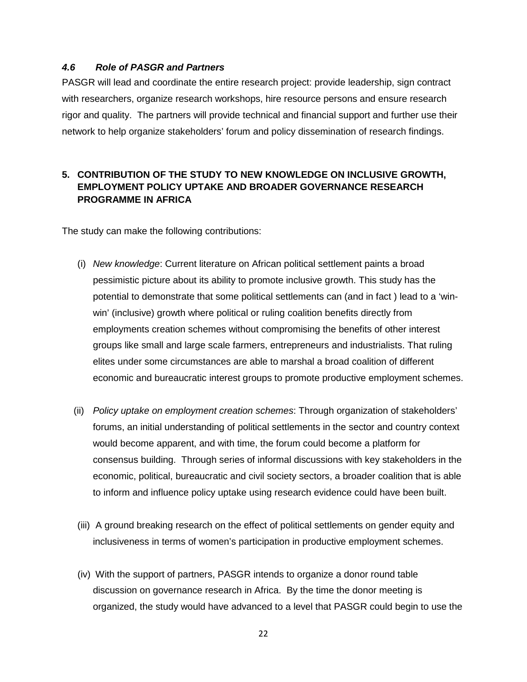#### <span id="page-22-0"></span>*4.6 Role of PASGR and Partners*

PASGR will lead and coordinate the entire research project: provide leadership, sign contract with researchers, organize research workshops, hire resource persons and ensure research rigor and quality. The partners will provide technical and financial support and further use their network to help organize stakeholders' forum and policy dissemination of research findings.

## <span id="page-22-1"></span>**5. CONTRIBUTION OF THE STUDY TO NEW KNOWLEDGE ON INCLUSIVE GROWTH, EMPLOYMENT POLICY UPTAKE AND BROADER GOVERNANCE RESEARCH PROGRAMME IN AFRICA**

The study can make the following contributions:

- (i) *New knowledge*: Current literature on African political settlement paints a broad pessimistic picture about its ability to promote inclusive growth. This study has the potential to demonstrate that some political settlements can (and in fact ) lead to a 'winwin' (inclusive) growth where political or ruling coalition benefits directly from employments creation schemes without compromising the benefits of other interest groups like small and large scale farmers, entrepreneurs and industrialists. That ruling elites under some circumstances are able to marshal a broad coalition of different economic and bureaucratic interest groups to promote productive employment schemes.
- (ii) *Policy uptake on employment creation schemes*: Through organization of stakeholders' forums, an initial understanding of political settlements in the sector and country context would become apparent, and with time, the forum could become a platform for consensus building. Through series of informal discussions with key stakeholders in the economic, political, bureaucratic and civil society sectors, a broader coalition that is able to inform and influence policy uptake using research evidence could have been built.
- (iii) A ground breaking research on the effect of political settlements on gender equity and inclusiveness in terms of women's participation in productive employment schemes.
- (iv) With the support of partners, PASGR intends to organize a donor round table discussion on governance research in Africa. By the time the donor meeting is organized, the study would have advanced to a level that PASGR could begin to use the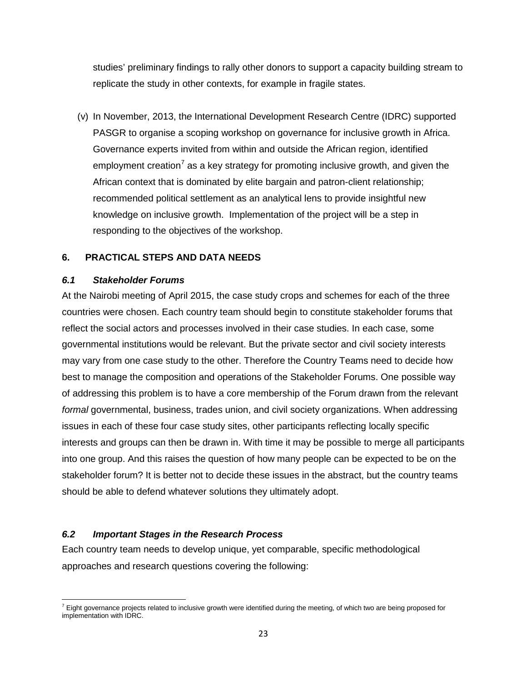studies' preliminary findings to rally other donors to support a capacity building stream to replicate the study in other contexts, for example in fragile states.

(v) In November, 2013, th*e* International Development Research Centre (IDRC) supported PASGR to organise a scoping workshop on governance for inclusive growth in Africa. Governance experts invited from within and outside the African region, identified employment creation<sup>[7](#page-23-3)</sup> as a key strategy for promoting inclusive growth, and given the African context that is dominated by elite bargain and patron-client relationship; recommended political settlement as an analytical lens to provide insightful new knowledge on inclusive growth. Implementation of the project will be a step in responding to the objectives of the workshop.

#### <span id="page-23-0"></span>**6. PRACTICAL STEPS AND DATA NEEDS**

#### <span id="page-23-1"></span>*6.1 Stakeholder Forums*

At the Nairobi meeting of April 2015, the case study crops and schemes for each of the three countries were chosen. Each country team should begin to constitute stakeholder forums that reflect the social actors and processes involved in their case studies. In each case, some governmental institutions would be relevant. But the private sector and civil society interests may vary from one case study to the other. Therefore the Country Teams need to decide how best to manage the composition and operations of the Stakeholder Forums. One possible way of addressing this problem is to have a core membership of the Forum drawn from the relevant *formal* governmental, business, trades union, and civil society organizations. When addressing issues in each of these four case study sites, other participants reflecting locally specific interests and groups can then be drawn in. With time it may be possible to merge all participants into one group. And this raises the question of how many people can be expected to be on the stakeholder forum? It is better not to decide these issues in the abstract, but the country teams should be able to defend whatever solutions they ultimately adopt.

#### <span id="page-23-2"></span>*6.2 Important Stages in the Research Process*

Each country team needs to develop unique, yet comparable, specific methodological approaches and research questions covering the following:

<span id="page-23-3"></span> $\overline{\phantom{a}}$  $^7$  Eight governance projects related to inclusive growth were identified during the meeting, of which two are being proposed for implementation with IDRC.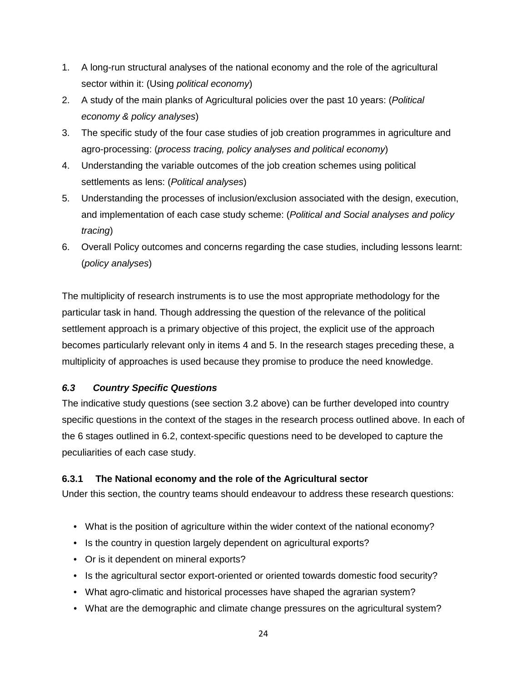- 1. A long-run structural analyses of the national economy and the role of the agricultural sector within it: (Using *political economy*)
- 2. A study of the main planks of Agricultural policies over the past 10 years: (*Political economy & policy analyses*)
- 3. The specific study of the four case studies of job creation programmes in agriculture and agro-processing: (*process tracing, policy analyses and political economy*)
- 4. Understanding the variable outcomes of the job creation schemes using political settlements as lens: (*Political analyses*)
- 5. Understanding the processes of inclusion/exclusion associated with the design, execution, and implementation of each case study scheme: (*Political and Social analyses and policy tracing*)
- 6. Overall Policy outcomes and concerns regarding the case studies, including lessons learnt: (*policy analyses*)

The multiplicity of research instruments is to use the most appropriate methodology for the particular task in hand. Though addressing the question of the relevance of the political settlement approach is a primary objective of this project, the explicit use of the approach becomes particularly relevant only in items 4 and 5. In the research stages preceding these, a multiplicity of approaches is used because they promise to produce the need knowledge.

## <span id="page-24-0"></span>*6.3 Country Specific Questions*

The indicative study questions (see section 3.2 above) can be further developed into country specific questions in the context of the stages in the research process outlined above. In each of the 6 stages outlined in 6.2, context-specific questions need to be developed to capture the peculiarities of each case study.

## <span id="page-24-1"></span>**6.3.1 The National economy and the role of the Agricultural sector**

Under this section, the country teams should endeavour to address these research questions:

- What is the position of agriculture within the wider context of the national economy?
- Is the country in question largely dependent on agricultural exports?
- Or is it dependent on mineral exports?
- Is the agricultural sector export-oriented or oriented towards domestic food security?
- What agro-climatic and historical processes have shaped the agrarian system?
- What are the demographic and climate change pressures on the agricultural system?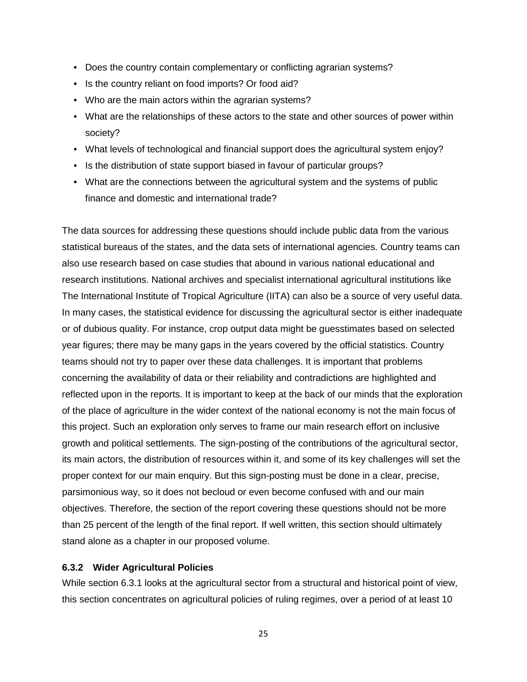- Does the country contain complementary or conflicting agrarian systems?
- Is the country reliant on food imports? Or food aid?
- Who are the main actors within the agrarian systems?
- What are the relationships of these actors to the state and other sources of power within society?
- What levels of technological and financial support does the agricultural system enjoy?
- Is the distribution of state support biased in favour of particular groups?
- What are the connections between the agricultural system and the systems of public finance and domestic and international trade?

The data sources for addressing these questions should include public data from the various statistical bureaus of the states, and the data sets of international agencies. Country teams can also use research based on case studies that abound in various national educational and research institutions. National archives and specialist international agricultural institutions like The International Institute of Tropical Agriculture (IITA) can also be a source of very useful data. In many cases, the statistical evidence for discussing the agricultural sector is either inadequate or of dubious quality. For instance, crop output data might be guesstimates based on selected year figures; there may be many gaps in the years covered by the official statistics. Country teams should not try to paper over these data challenges. It is important that problems concerning the availability of data or their reliability and contradictions are highlighted and reflected upon in the reports. It is important to keep at the back of our minds that the exploration of the place of agriculture in the wider context of the national economy is not the main focus of this project. Such an exploration only serves to frame our main research effort on inclusive growth and political settlements. The sign-posting of the contributions of the agricultural sector, its main actors, the distribution of resources within it, and some of its key challenges will set the proper context for our main enquiry. But this sign-posting must be done in a clear, precise, parsimonious way, so it does not becloud or even become confused with and our main objectives. Therefore, the section of the report covering these questions should not be more than 25 percent of the length of the final report. If well written, this section should ultimately stand alone as a chapter in our proposed volume.

#### <span id="page-25-0"></span>**6.3.2 Wider Agricultural Policies**

While section 6.3.1 looks at the agricultural sector from a structural and historical point of view, this section concentrates on agricultural policies of ruling regimes, over a period of at least 10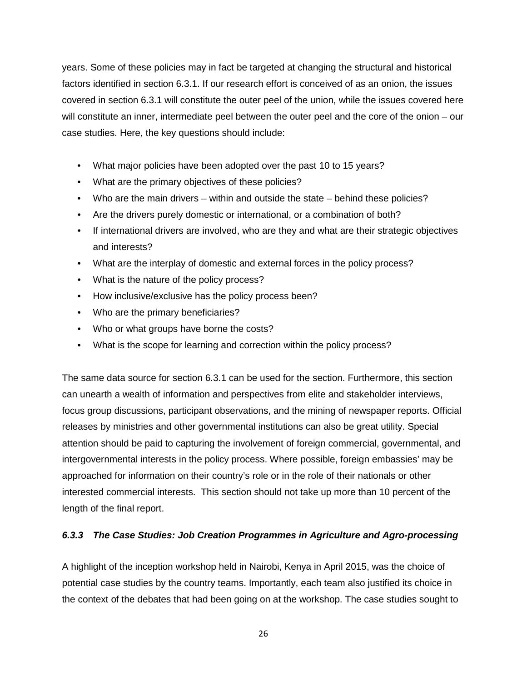years. Some of these policies may in fact be targeted at changing the structural and historical factors identified in section 6.3.1. If our research effort is conceived of as an onion, the issues covered in section 6.3.1 will constitute the outer peel of the union, while the issues covered here will constitute an inner, intermediate peel between the outer peel and the core of the onion – our case studies. Here, the key questions should include:

- What major policies have been adopted over the past 10 to 15 years?
- What are the primary objectives of these policies?
- Who are the main drivers within and outside the state behind these policies?
- Are the drivers purely domestic or international, or a combination of both?
- If international drivers are involved, who are they and what are their strategic objectives and interests?
- What are the interplay of domestic and external forces in the policy process?
- What is the nature of the policy process?
- How inclusive/exclusive has the policy process been?
- Who are the primary beneficiaries?
- Who or what groups have borne the costs?
- What is the scope for learning and correction within the policy process?

The same data source for section 6.3.1 can be used for the section. Furthermore, this section can unearth a wealth of information and perspectives from elite and stakeholder interviews, focus group discussions, participant observations, and the mining of newspaper reports. Official releases by ministries and other governmental institutions can also be great utility. Special attention should be paid to capturing the involvement of foreign commercial, governmental, and intergovernmental interests in the policy process. Where possible, foreign embassies' may be approached for information on their country's role or in the role of their nationals or other interested commercial interests. This section should not take up more than 10 percent of the length of the final report.

## <span id="page-26-0"></span>*6.3.3 The Case Studies: Job Creation Programmes in Agriculture and Agro-processing*

A highlight of the inception workshop held in Nairobi, Kenya in April 2015, was the choice of potential case studies by the country teams. Importantly, each team also justified its choice in the context of the debates that had been going on at the workshop. The case studies sought to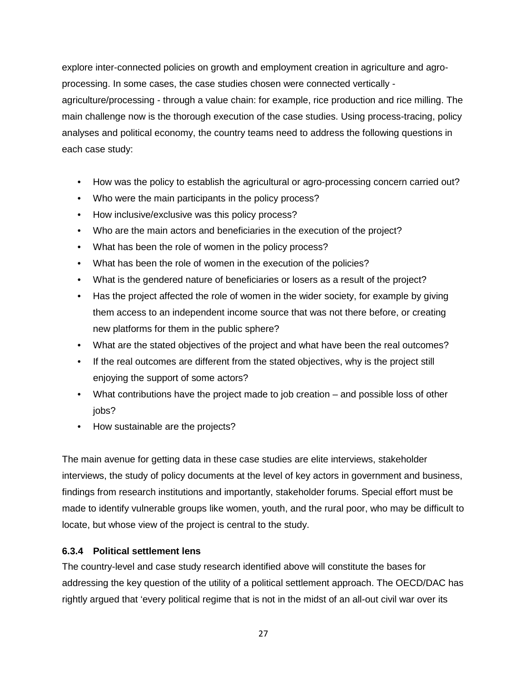explore inter-connected policies on growth and employment creation in agriculture and agroprocessing. In some cases, the case studies chosen were connected vertically agriculture/processing - through a value chain: for example, rice production and rice milling. The main challenge now is the thorough execution of the case studies. Using process-tracing, policy analyses and political economy, the country teams need to address the following questions in each case study:

- How was the policy to establish the agricultural or agro-processing concern carried out?
- Who were the main participants in the policy process?
- How inclusive/exclusive was this policy process?
- Who are the main actors and beneficiaries in the execution of the project?
- What has been the role of women in the policy process?
- What has been the role of women in the execution of the policies?
- What is the gendered nature of beneficiaries or losers as a result of the project?
- Has the project affected the role of women in the wider society, for example by giving them access to an independent income source that was not there before, or creating new platforms for them in the public sphere?
- What are the stated objectives of the project and what have been the real outcomes?
- If the real outcomes are different from the stated objectives, why is the project still enjoying the support of some actors?
- What contributions have the project made to job creation and possible loss of other jobs?
- How sustainable are the projects?

The main avenue for getting data in these case studies are elite interviews, stakeholder interviews, the study of policy documents at the level of key actors in government and business, findings from research institutions and importantly, stakeholder forums. Special effort must be made to identify vulnerable groups like women, youth, and the rural poor, who may be difficult to locate, but whose view of the project is central to the study.

#### <span id="page-27-0"></span>**6.3.4 Political settlement lens**

The country-level and case study research identified above will constitute the bases for addressing the key question of the utility of a political settlement approach. The OECD/DAC has rightly argued that 'every political regime that is not in the midst of an all-out civil war over its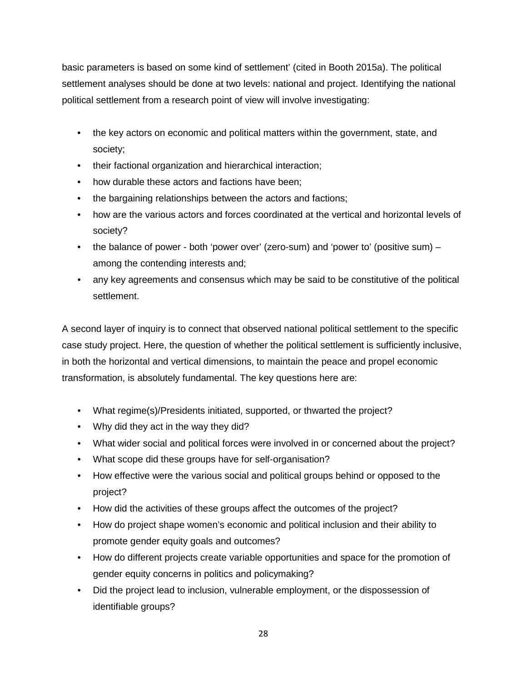basic parameters is based on some kind of settlement' (cited in Booth 2015a). The political settlement analyses should be done at two levels: national and project. Identifying the national political settlement from a research point of view will involve investigating:

- the key actors on economic and political matters within the government, state, and society;
- their factional organization and hierarchical interaction;
- how durable these actors and factions have been;
- the bargaining relationships between the actors and factions;
- how are the various actors and forces coordinated at the vertical and horizontal levels of society?
- the balance of power both 'power over' (zero-sum) and 'power to' (positive sum) among the contending interests and;
- any key agreements and consensus which may be said to be constitutive of the political settlement.

A second layer of inquiry is to connect that observed national political settlement to the specific case study project. Here, the question of whether the political settlement is sufficiently inclusive, in both the horizontal and vertical dimensions, to maintain the peace and propel economic transformation, is absolutely fundamental. The key questions here are:

- What regime(s)/Presidents initiated, supported, or thwarted the project?
- Why did they act in the way they did?
- What wider social and political forces were involved in or concerned about the project?
- What scope did these groups have for self-organisation?
- How effective were the various social and political groups behind or opposed to the project?
- How did the activities of these groups affect the outcomes of the project?
- How do project shape women's economic and political inclusion and their ability to promote gender equity goals and outcomes?
- How do different projects create variable opportunities and space for the promotion of gender equity concerns in politics and policymaking?
- Did the project lead to inclusion, vulnerable employment, or the dispossession of identifiable groups?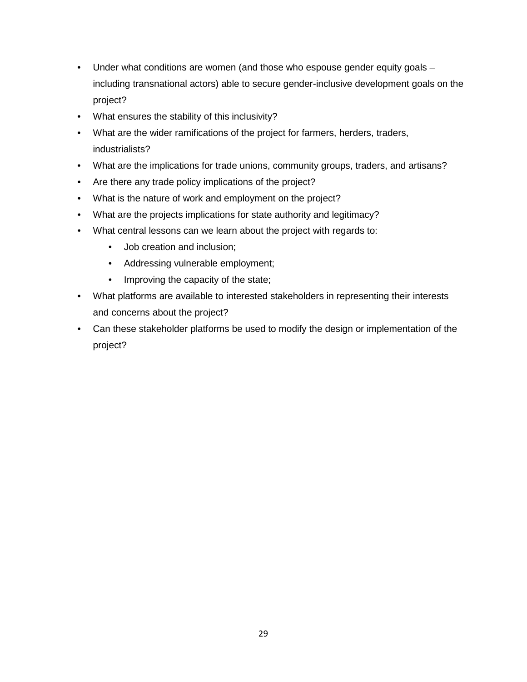- Under what conditions are women (and those who espouse gender equity goals including transnational actors) able to secure gender-inclusive development goals on the project?
- What ensures the stability of this inclusivity?
- What are the wider ramifications of the project for farmers, herders, traders, industrialists?
- What are the implications for trade unions, community groups, traders, and artisans?
- Are there any trade policy implications of the project?
- What is the nature of work and employment on the project?
- What are the projects implications for state authority and legitimacy?
- What central lessons can we learn about the project with regards to:
	- Job creation and inclusion;
	- Addressing vulnerable employment;
	- Improving the capacity of the state;
- What platforms are available to interested stakeholders in representing their interests and concerns about the project?
- Can these stakeholder platforms be used to modify the design or implementation of the project?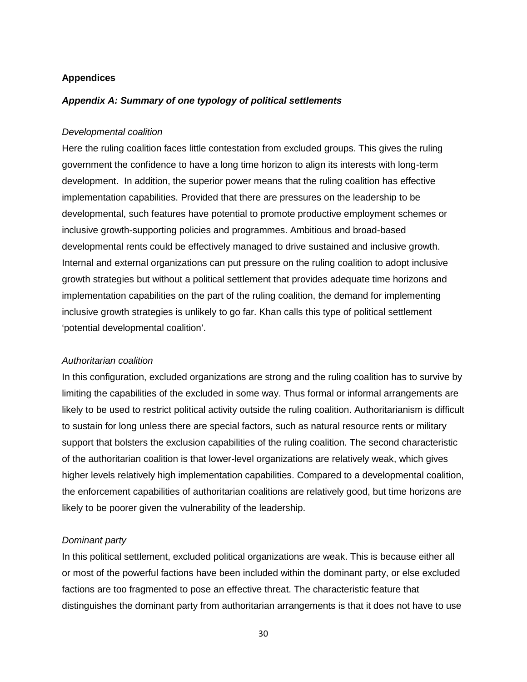#### <span id="page-30-0"></span>**Appendices**

#### <span id="page-30-1"></span>*Appendix A: Summary of one typology of political settlements*

#### *Developmental coalition*

Here the ruling coalition faces little contestation from excluded groups. This gives the ruling government the confidence to have a long time horizon to align its interests with long-term development. In addition, the superior power means that the ruling coalition has effective implementation capabilities. Provided that there are pressures on the leadership to be developmental, such features have potential to promote productive employment schemes or inclusive growth-supporting policies and programmes. Ambitious and broad-based developmental rents could be effectively managed to drive sustained and inclusive growth. Internal and external organizations can put pressure on the ruling coalition to adopt inclusive growth strategies but without a political settlement that provides adequate time horizons and implementation capabilities on the part of the ruling coalition, the demand for implementing inclusive growth strategies is unlikely to go far. Khan calls this type of political settlement 'potential developmental coalition'.

#### *Authoritarian coalition*

In this configuration, excluded organizations are strong and the ruling coalition has to survive by limiting the capabilities of the excluded in some way. Thus formal or informal arrangements are likely to be used to restrict political activity outside the ruling coalition. Authoritarianism is difficult to sustain for long unless there are special factors, such as natural resource rents or military support that bolsters the exclusion capabilities of the ruling coalition. The second characteristic of the authoritarian coalition is that lower-level organizations are relatively weak, which gives higher levels relatively high implementation capabilities. Compared to a developmental coalition, the enforcement capabilities of authoritarian coalitions are relatively good, but time horizons are likely to be poorer given the vulnerability of the leadership.

#### *Dominant party*

In this political settlement, excluded political organizations are weak. This is because either all or most of the powerful factions have been included within the dominant party, or else excluded factions are too fragmented to pose an effective threat. The characteristic feature that distinguishes the dominant party from authoritarian arrangements is that it does not have to use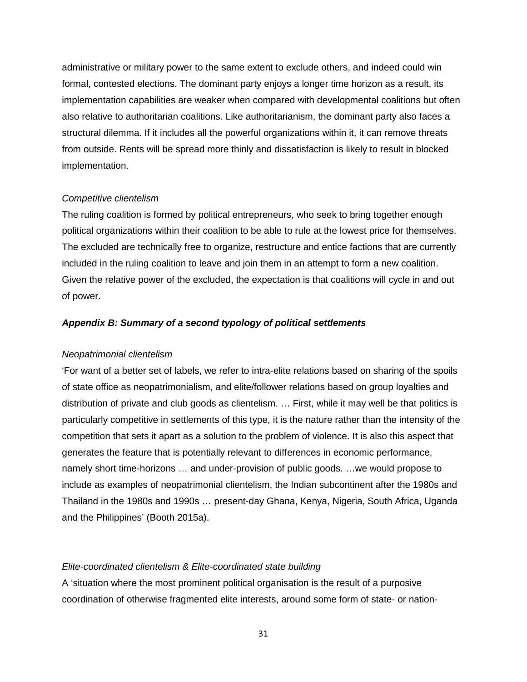administrative or military power to the same extent to exclude others, and indeed could win formal, contested elections. The dominant party enjoys a longer time horizon as a result, its implementation capabilities are weaker when compared with developmental coalitions but often also relative to authoritarian coalitions. Like authoritarianism, the dominant party also faces a structural dilemma. If it includes all the powerful organizations within it, it can remove threats from outside. Rents will be spread more thinly and dissatisfaction is likely to result in blocked implementation.

#### *Competitive clientelism*

The ruling coalition is formed by political entrepreneurs, who seek to bring together enough political organizations within their coalition to be able to rule at the lowest price for themselves. The excluded are technically free to organize, restructure and entice factions that are currently included in the ruling coalition to leave and join them in an attempt to form a new coalition. Given the relative power of the excluded, the expectation is that coalitions will cycle in and out of power.

#### <span id="page-31-0"></span>*Appendix B: Summary of a second typology of political settlements*

#### *Neopatrimonial clientelism*

'For want of a better set of labels, we refer to intra-elite relations based on sharing of the spoils of state office as neopatrimonialism, and elite/follower relations based on group loyalties and distribution of private and club goods as clientelism. … First, while it may well be that politics is particularly competitive in settlements of this type, it is the nature rather than the intensity of the competition that sets it apart as a solution to the problem of violence. It is also this aspect that generates the feature that is potentially relevant to differences in economic performance, namely short time-horizons … and under-provision of public goods. …we would propose to include as examples of neopatrimonial clientelism, the Indian subcontinent after the 1980s and Thailand in the 1980s and 1990s … present-day Ghana, Kenya, Nigeria, South Africa, Uganda and the Philippines' (Booth 2015a).

#### *Elite-coordinated clientelism & Elite-coordinated state building*

A 'situation where the most prominent political organisation is the result of a purposive coordination of otherwise fragmented elite interests, around some form of state- or nation-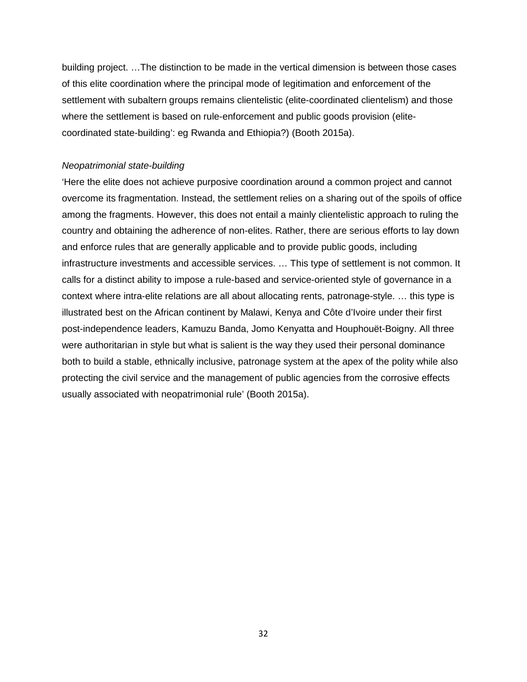building project. …The distinction to be made in the vertical dimension is between those cases of this elite coordination where the principal mode of legitimation and enforcement of the settlement with subaltern groups remains clientelistic (elite-coordinated clientelism) and those where the settlement is based on rule-enforcement and public goods provision (elitecoordinated state-building': eg Rwanda and Ethiopia?) (Booth 2015a).

#### *Neopatrimonial state-building*

'Here the elite does not achieve purposive coordination around a common project and cannot overcome its fragmentation. Instead, the settlement relies on a sharing out of the spoils of office among the fragments. However, this does not entail a mainly clientelistic approach to ruling the country and obtaining the adherence of non-elites. Rather, there are serious efforts to lay down and enforce rules that are generally applicable and to provide public goods, including infrastructure investments and accessible services. … This type of settlement is not common. It calls for a distinct ability to impose a rule-based and service-oriented style of governance in a context where intra-elite relations are all about allocating rents, patronage-style. … this type is illustrated best on the African continent by Malawi, Kenya and Côte d'Ivoire under their first post-independence leaders, Kamuzu Banda, Jomo Kenyatta and Houphouët-Boigny. All three were authoritarian in style but what is salient is the way they used their personal dominance both to build a stable, ethnically inclusive, patronage system at the apex of the polity while also protecting the civil service and the management of public agencies from the corrosive effects usually associated with neopatrimonial rule' (Booth 2015a).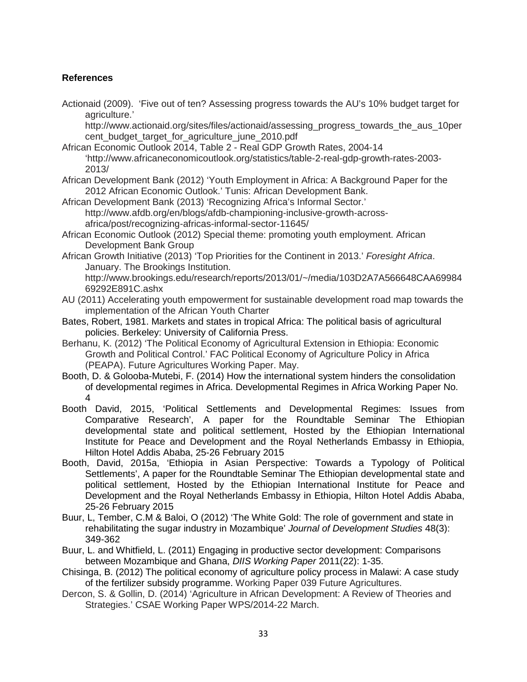## <span id="page-33-0"></span>**References**

Actionaid (2009). 'Five out of ten? Assessing progress towards the AU's 10% budget target for agriculture.'

http://www.actionaid.org/sites/files/actionaid/assessing\_progress\_towards\_the\_aus\_10per cent\_budget\_target\_for\_agriculture\_june\_2010.pdf

- African Economic Outlook 2014, Table 2 Real GDP Growth Rates, 2004-14 'http://www.africaneconomicoutlook.org/statistics/table-2-real-gdp-growth-rates-2003- 2013/
- African Development Bank (2012) 'Youth Employment in Africa: A Background Paper for the 2012 African Economic Outlook.' Tunis: African Development Bank.
- African Development Bank (2013) 'Recognizing Africa's Informal Sector.' http://www.afdb.org/en/blogs/afdb-championing-inclusive-growth-acrossafrica/post/recognizing-africas-informal-sector-11645/
- African Economic Outlook (2012) Special theme: promoting youth employment. African Development Bank Group
- African Growth Initiative (2013) 'Top Priorities for the Continent in 2013.' *Foresight Africa*. January. The Brookings Institution.
	- http://www.brookings.edu/research/reports/2013/01/~/media/103D2A7A566648CAA69984 69292E891C.ashx
- AU (2011) Accelerating youth empowerment for sustainable development road map towards the implementation of the African Youth Charter
- Bates, Robert, 1981. Markets and states in tropical Africa: The political basis of agricultural policies. Berkeley: University of California Press.
- Berhanu, K. (2012) 'The Political Economy of Agricultural Extension in Ethiopia: Economic Growth and Political Control.' FAC Political Economy of Agriculture Policy in Africa (PEAPA). Future Agricultures Working Paper. May.
- Booth, D. & Golooba-Mutebi, F. (2014) How the international system hinders the consolidation of developmental regimes in Africa. Developmental Regimes in Africa Working Paper No. 4
- Booth David, 2015, 'Political Settlements and Developmental Regimes: Issues from Comparative Research', A paper for the Roundtable Seminar The Ethiopian developmental state and political settlement, Hosted by the Ethiopian International Institute for Peace and Development and the Royal Netherlands Embassy in Ethiopia, Hilton Hotel Addis Ababa, 25-26 February 2015
- Booth, David, 2015a, 'Ethiopia in Asian Perspective: Towards a Typology of Political Settlements', A paper for the Roundtable Seminar The Ethiopian developmental state and political settlement, Hosted by the Ethiopian International Institute for Peace and Development and the Royal Netherlands Embassy in Ethiopia, Hilton Hotel Addis Ababa, 25-26 February 2015
- Buur, L, Tember, C.M & Baloi, O (2012) 'The White Gold: The role of government and state in rehabilitating the sugar industry in Mozambique' *Journal of Development Studies* 48(3): 349-362
- Buur, L. and Whitfield, L. (2011) Engaging in productive sector development: Comparisons between Mozambique and Ghana, *DIIS Working Paper* 2011(22): 1-35.
- Chisinga, B. (2012) The political economy of agriculture policy process in Malawi: A case study of the fertilizer subsidy programme. Working Paper 039 Future Agricultures.
- Dercon, S. & Gollin, D. (2014) 'Agriculture in African Development: A Review of Theories and Strategies.' CSAE Working Paper WPS/2014-22 March.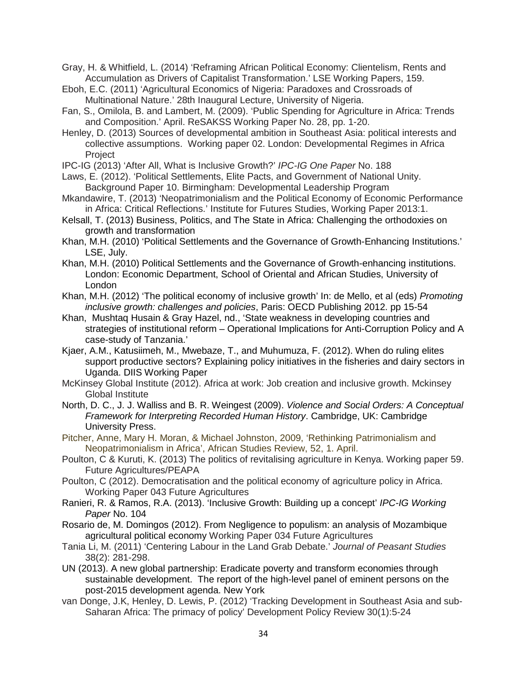Gray, H. & Whitfield, L. (2014) 'Reframing African Political Economy: Clientelism, Rents and Accumulation as Drivers of Capitalist Transformation.' LSE Working Papers, 159.

- Eboh, E.C. (2011) 'Agricultural Economics of Nigeria: Paradoxes and Crossroads of Multinational Nature.' 28th Inaugural Lecture, University of Nigeria.
- Fan, S., Omilola, B. and Lambert, M. (2009). 'Public Spending for Agriculture in Africa: Trends and Composition.' April. ReSAKSS Working Paper No. 28, pp. 1-20.
- Henley, D. (2013) Sources of developmental ambition in Southeast Asia: political interests and collective assumptions. Working paper 02. London: Developmental Regimes in Africa **Project**
- IPC-IG (2013) 'After All, What is Inclusive Growth?' *IPC-IG One Paper* No. 188
- Laws, E. (2012). 'Political Settlements, Elite Pacts, and Government of National Unity. Background Paper 10. Birmingham: Developmental Leadership Program
- Mkandawire, T. (2013) 'Neopatrimonialism and the Political Economy of Economic Performance in Africa: Critical Reflections.' Institute for Futures Studies, Working Paper 2013:1.
- Kelsall, T. (2013) Business, Politics, and The State in Africa: Challenging the orthodoxies on growth and transformation
- Khan, M.H. (2010) 'Political Settlements and the Governance of Growth-Enhancing Institutions.' LSE, July.
- Khan, M.H. (2010) Political Settlements and the Governance of Growth-enhancing institutions. London: Economic Department, School of Oriental and African Studies, University of London
- Khan, M.H. (2012) 'The political economy of inclusive growth' In: de Mello, et al (eds) *Promoting inclusive growth: challenges and policies*, Paris: OECD Publishing 2012. pp 15-54
- Khan, Mushtaq Husain & Gray Hazel, nd., 'State weakness in developing countries and strategies of institutional reform – Operational Implications for Anti-Corruption Policy and A case-study of Tanzania.'
- Kjaer, A.M., Katusiimeh, M., Mwebaze, T., and Muhumuza, F. (2012). When do ruling elites support productive sectors? Explaining policy initiatives in the fisheries and dairy sectors in Uganda. DIIS Working Paper
- McKinsey Global Institute (2012). Africa at work: Job creation and inclusive growth. Mckinsey Global Institute
- North, D. C., J. J. Walliss and B. R. Weingest (2009). *Violence and Social Orders: A Conceptual Framework for Interpreting Recorded Human History*. Cambridge, UK: Cambridge University Press.
- Pitcher, Anne, Mary H. Moran, & Michael Johnston, 2009, 'Rethinking Patrimonialism and Neopatrimonialism in Africa', African Studies Review, 52, 1. April.
- Poulton, C & Kuruti, K. (2013) The politics of revitalising agriculture in Kenya. Working paper 59. Future Agricultures/PEAPA
- Poulton, C (2012). Democratisation and the political economy of agriculture policy in Africa. Working Paper 043 Future Agricultures
- Ranieri, R. & Ramos, R.A. (2013). 'Inclusive Growth: Building up a concept' *IPC-IG Working Paper* No. 104
- Rosario de, M. Domingos (2012). From Negligence to populism: an analysis of Mozambique agricultural political economy Working Paper 034 Future Agricultures
- Tania Li, M. (2011) 'Centering Labour in the Land Grab Debate.' *Journal of Peasant Studies*  38(2): 281-298.
- UN (2013). A new global partnership: Eradicate poverty and transform economies through sustainable development. The report of the high-level panel of eminent persons on the post-2015 development agenda. New York
- van Donge, J.K, Henley, D. Lewis, P. (2012) 'Tracking Development in Southeast Asia and sub-Saharan Africa: The primacy of policy' Development Policy Review 30(1):5-24